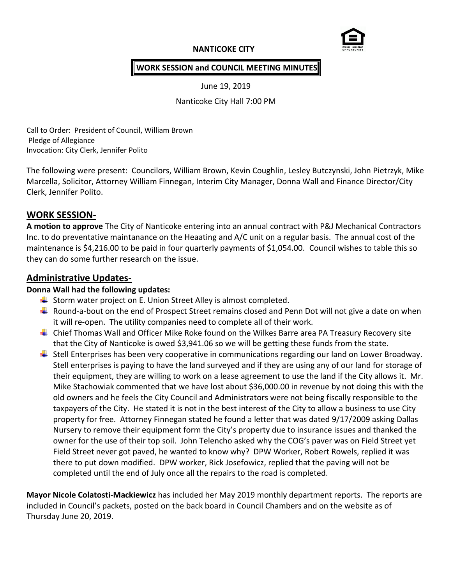# **NANTICOKE CITY**



## **WORK SESSION and COUNCIL MEETING MINUTES**

June 19, 2019

Nanticoke City Hall 7:00 PM

Call to Order: President of Council, William Brown Pledge of Allegiance Invocation: City Clerk, Jennifer Polito

The following were present: Councilors, William Brown, Kevin Coughlin, Lesley Butczynski, John Pietrzyk, Mike Marcella, Solicitor, Attorney William Finnegan, Interim City Manager, Donna Wall and Finance Director/City Clerk, Jennifer Polito.

# **WORK SESSION-**

**A motion to approve** The City of Nanticoke entering into an annual contract with P&J Mechanical Contractors Inc. to do preventative maintanance on the Heaating and A/C unit on a regular basis. The annual cost of the maintenance is \$4,216.00 to be paid in four quarterly payments of \$1,054.00. Council wishes to table this so they can do some further research on the issue.

# **Administrative Updates-**

# **Donna Wall had the following updates:**

- $\downarrow$  Storm water project on E. Union Street Alley is almost completed.
- Round-a-bout on the end of Prospect Street remains closed and Penn Dot will not give a date on when it will re-open. The utility companies need to complete all of their work.
- Chief Thomas Wall and Officer Mike Roke found on the Wilkes Barre area PA Treasury Recovery site that the City of Nanticoke is owed \$3,941.06 so we will be getting these funds from the state.
- **↓** Stell Enterprises has been very cooperative in communications regarding our land on Lower Broadway. Stell enterprises is paying to have the land surveyed and if they are using any of our land for storage of their equipment, they are willing to work on a lease agreement to use the land if the City allows it. Mr. Mike Stachowiak commented that we have lost about \$36,000.00 in revenue by not doing this with the old owners and he feels the City Council and Administrators were not being fiscally responsible to the taxpayers of the City. He stated it is not in the best interest of the City to allow a business to use City property for free. Attorney Finnegan stated he found a letter that was dated 9/17/2009 asking Dallas Nursery to remove their equipment form the City's property due to insurance issues and thanked the owner for the use of their top soil. John Telencho asked why the COG's paver was on Field Street yet Field Street never got paved, he wanted to know why? DPW Worker, Robert Rowels, replied it was there to put down modified. DPW worker, Rick Josefowicz, replied that the paving will not be completed until the end of July once all the repairs to the road is completed.

**Mayor Nicole Colatosti-Mackiewicz** has included her May 2019 monthly department reports. The reports are included in Council's packets, posted on the back board in Council Chambers and on the website as of Thursday June 20, 2019.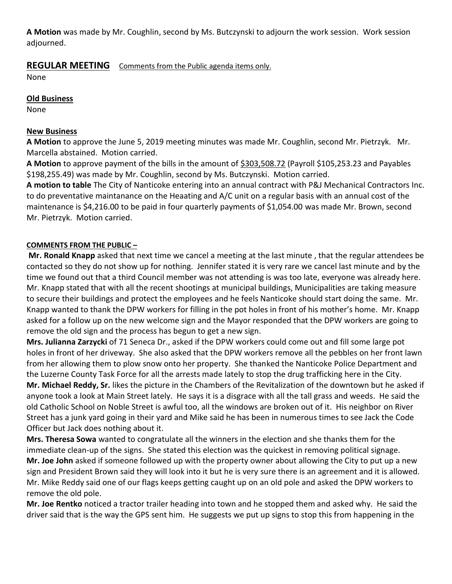**A Motion** was made by Mr. Coughlin, second by Ms. Butczynski to adjourn the work session. Work session adjourned.

# **REGULAR MEETING** Comments from the Public agenda items only.

None

## **Old Business**

None

#### **New Business**

**A Motion** to approve the June 5, 2019 meeting minutes was made Mr. Coughlin, second Mr. Pietrzyk. Mr. Marcella abstained. Motion carried.

**A Motion** to approve payment of the bills in the amount of \$303,508.72 (Payroll \$105,253.23 and Payables \$198,255.49) was made by Mr. Coughlin, second by Ms. Butczynski. Motion carried.

**A motion to table** The City of Nanticoke entering into an annual contract with P&J Mechanical Contractors Inc. to do preventative maintanance on the Heaating and A/C unit on a regular basis with an annual cost of the maintenance is \$4,216.00 to be paid in four quarterly payments of \$1,054.00 was made Mr. Brown, second Mr. Pietrzyk. Motion carried.

# **COMMENTS FROM THE PUBLIC –**

**Mr. Ronald Knapp** asked that next time we cancel a meeting at the last minute , that the regular attendees be contacted so they do not show up for nothing. Jennifer stated it is very rare we cancel last minute and by the time we found out that a third Council member was not attending is was too late, everyone was already here. Mr. Knapp stated that with all the recent shootings at municipal buildings, Municipalities are taking measure to secure their buildings and protect the employees and he feels Nanticoke should start doing the same. Mr. Knapp wanted to thank the DPW workers for filling in the pot holes in front of his mother's home. Mr. Knapp asked for a follow up on the new welcome sign and the Mayor responded that the DPW workers are going to remove the old sign and the process has begun to get a new sign.

**Mrs. Julianna Zarzycki** of 71 Seneca Dr., asked if the DPW workers could come out and fill some large pot holes in front of her driveway. She also asked that the DPW workers remove all the pebbles on her front lawn from her allowing them to plow snow onto her property. She thanked the Nanticoke Police Department and the Luzerne County Task Force for all the arrests made lately to stop the drug trafficking here in the City. **Mr. Michael Reddy, Sr.** likes the picture in the Chambers of the Revitalization of the downtown but he asked if anyone took a look at Main Street lately. He says it is a disgrace with all the tall grass and weeds. He said the old Catholic School on Noble Street is awful too, all the windows are broken out of it. His neighbor on River Street has a junk yard going in their yard and Mike said he has been in numerous times to see Jack the Code Officer but Jack does nothing about it.

**Mrs. Theresa Sowa** wanted to congratulate all the winners in the election and she thanks them for the immediate clean-up of the signs. She stated this election was the quickest in removing political signage. **Mr. Joe John** asked if someone followed up with the property owner about allowing the City to put up a new sign and President Brown said they will look into it but he is very sure there is an agreement and it is allowed. Mr. Mike Reddy said one of our flags keeps getting caught up on an old pole and asked the DPW workers to remove the old pole.

**Mr. Joe Rentko** noticed a tractor trailer heading into town and he stopped them and asked why. He said the driver said that is the way the GPS sent him. He suggests we put up signs to stop this from happening in the